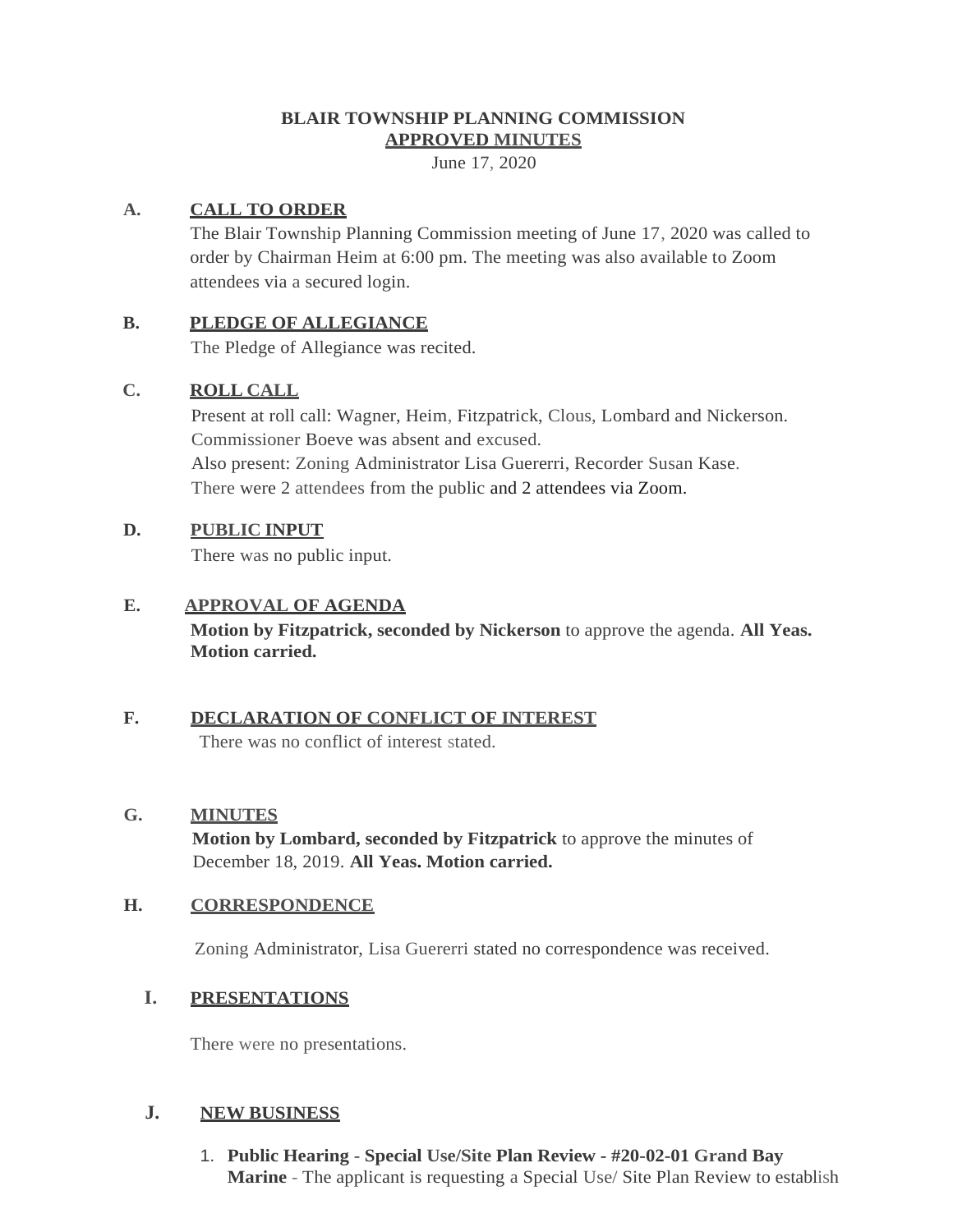### **BLAIR TOWNSHIP PLANNING COMMISSION APPROVED MINUTES**

June 17, 2020

# **A. CALL TO ORDER**

The Blair Township Planning Commission meeting of June 17, 2020 was called to order by Chairman Heim at 6:00 pm. The meeting was also available to Zoom attendees via a secured login.

### **B. PLEDGE OF ALLEGIANCE**

The Pledge of Allegiance was recited.

# **C. ROLL CALL**

Present at roll call: Wagner, Heim, Fitzpatrick, Clous, Lombard and Nickerson. Commissioner Boeve was absent and excused. Also present: Zoning Administrator Lisa Guererri, Recorder Susan Kase. There were 2 attendees from the public and 2 attendees via Zoom.

# **D. PUBLIC INPUT**

There was no public input.

### **E. APPROVAL OF AGENDA**

**Motion by Fitzpatrick, seconded by Nickerson** to approve the agenda. **All Yeas. Motion carried.**

# **F. DECLARATION OF CONFLICT OF INTEREST**

There was no conflict of interest stated.

# **G. MINUTES**

**Motion by Lombard, seconded by Fitzpatrick** to approve the minutes of December 18, 2019. **All Yeas. Motion carried.**

# **H. CORRESPONDENCE**

Zoning Administrator, Lisa Guererri stated no correspondence was received.

# **I. PRESENTATIONS**

There were no presentations.

# **J. NEW BUSINESS**

1. **Public Hearing** - **Special Use/Site Plan Review** - **#20-02-01 Grand Bay Marine** - The applicant is requesting a Special Use/ Site Plan Review to establish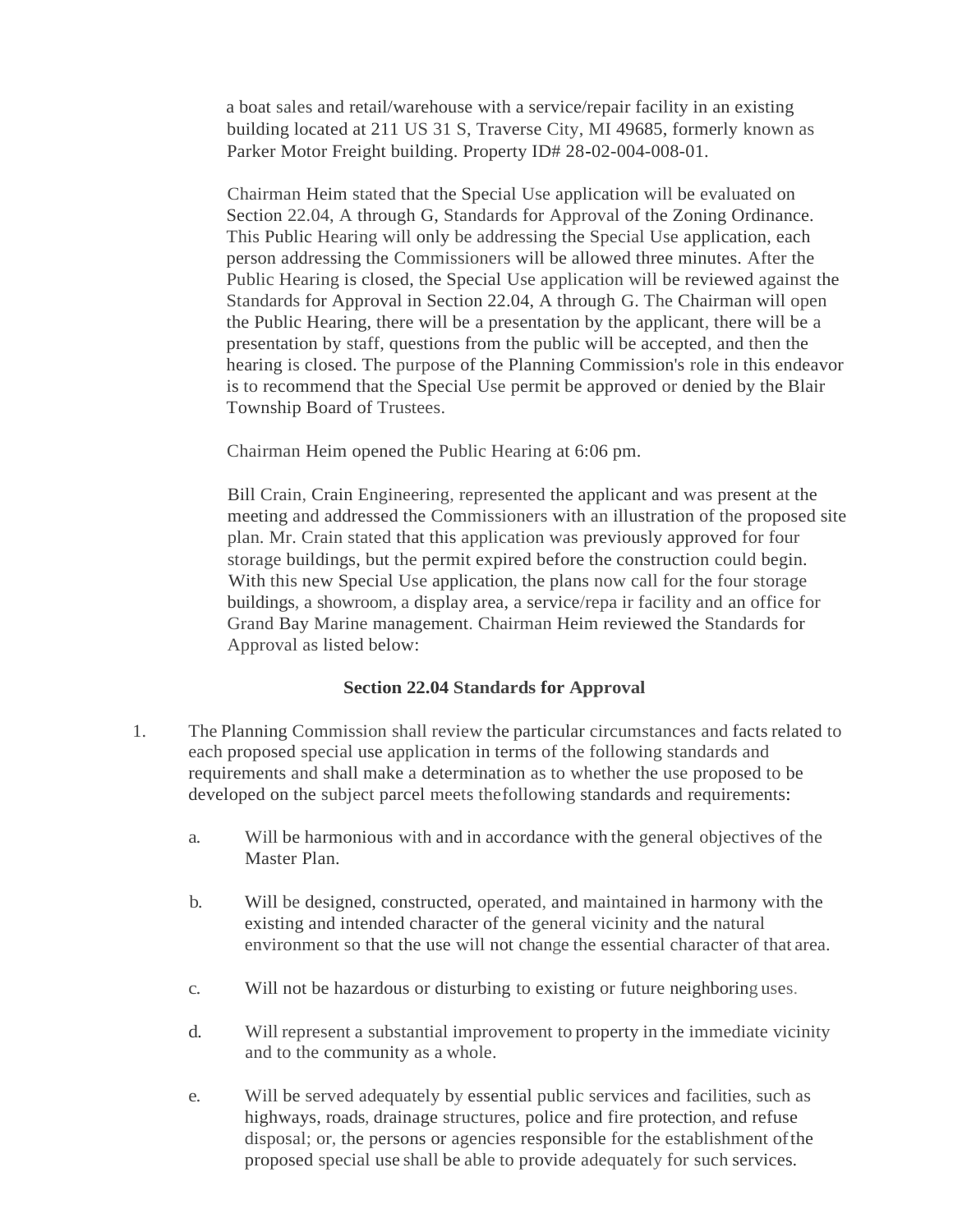a boat sales and retail/warehouse with a service/repair facility in an existing building located at 211 US 31 S, Traverse City, MI 49685, formerly known as Parker Motor Freight building. Property ID# 28-02-004-008-01.

Chairman Heim stated that the Special Use application will be evaluated on Section 22.04, A through G, Standards for Approval of the Zoning Ordinance. This Public Hearing will only be addressing the Special Use application, each person addressing the Commissioners will be allowed three minutes. After the Public Hearing is closed, the Special Use application will be reviewed against the Standards for Approval in Section 22.04, A through G. The Chairman will open the Public Hearing, there will be a presentation by the applicant, there will be a presentation by staff, questions from the public will be accepted, and then the hearing is closed. The purpose of the Planning Commission's role in this endeavor is to recommend that the Special Use permit be approved or denied by the Blair Township Board of Trustees.

Chairman Heim opened the Public Hearing at 6:06 pm.

Bill Crain, Crain Engineering, represented the applicant and was present at the meeting and addressed the Commissioners with an illustration of the proposed site plan. Mr. Crain stated that this application was previously approved for four storage buildings, but the permit expired before the construction could begin. With this new Special Use application, the plans now call for the four storage buildings, a showroom, a display area, a service/repa ir facility and an office for Grand Bay Marine management. Chairman Heim reviewed the Standards for Approval as listed below:

#### **Section 22.04 Standards for Approval**

- 1. The Planning Commission shall review the particular circumstances and facts related to each proposed special use application in terms of the following standards and requirements and shall make a determination as to whether the use proposed to be developed on the subject parcel meets thefollowing standards and requirements:
	- a. Will be harmonious with and in accordance with the general objectives of the Master Plan.
	- b. Will be designed, constructed, operated, and maintained in harmony with the existing and intended character of the general vicinity and the natural environment so that the use will not change the essential character of that area.
	- c. Will not be hazardous or disturbing to existing or future neighboring uses.
	- d. Will represent a substantial improvement to property in the immediate vicinity and to the community as a whole.
	- e. Will be served adequately by essential public services and facilities, such as highways, roads, drainage structures, police and fire protection, and refuse disposal; or, the persons or agencies responsible for the establishment ofthe proposed special use shall be able to provide adequately for such services.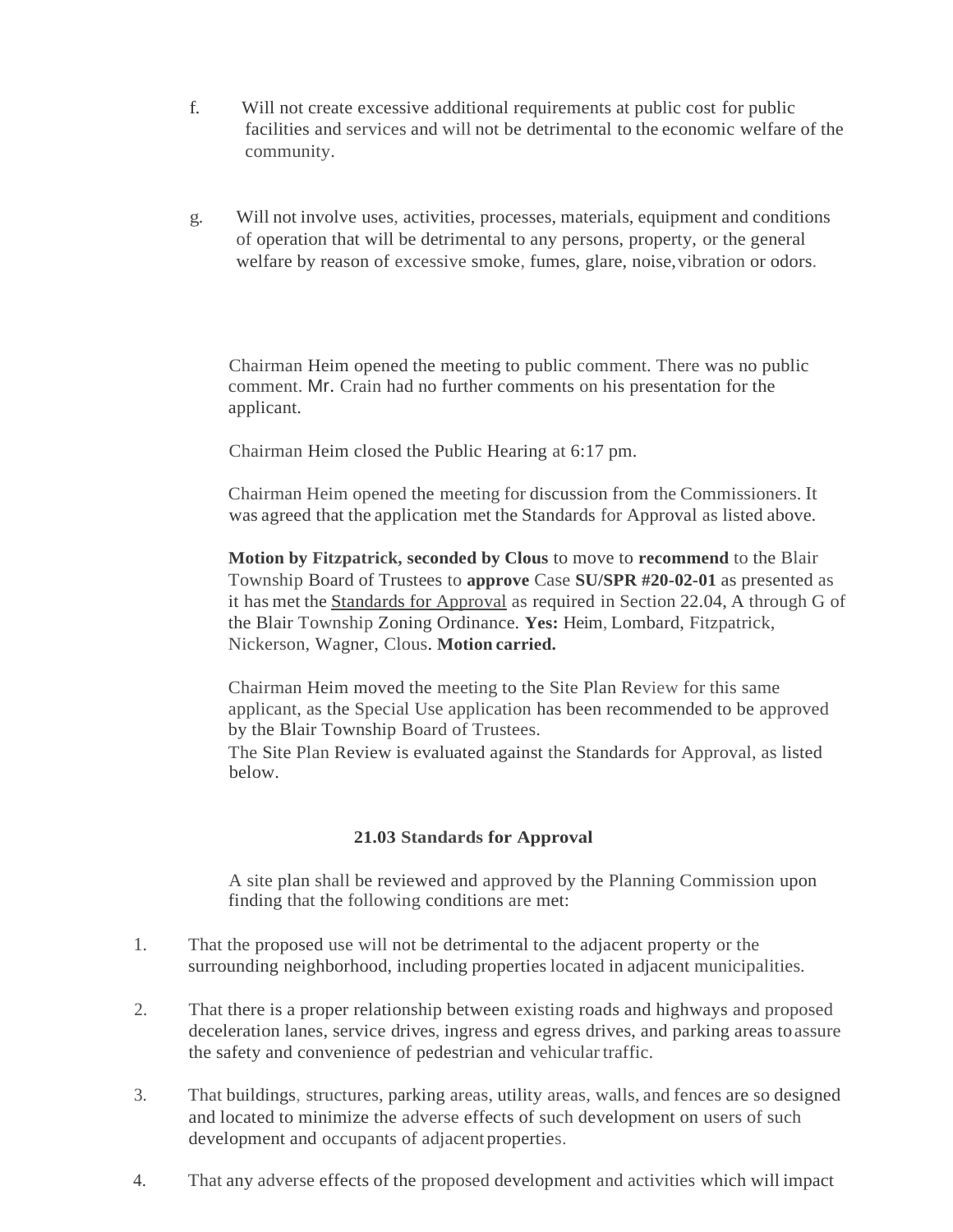- f. Will not create excessive additional requirements at public cost for public facilities and services and will not be detrimental to the economic welfare of the community.
- g. Will not involve uses, activities, processes, materials, equipment and conditions of operation that will be detrimental to any persons, property, or the general welfare by reason of excessive smoke, fumes, glare, noise,vibration or odors.

Chairman Heim opened the meeting to public comment. There was no public comment. Mr. Crain had no further comments on his presentation for the applicant.

Chairman Heim closed the Public Hearing at 6:17 pm.

Chairman Heim opened the meeting for discussion from the Commissioners. It was agreed that the application met the Standards for Approval as listed above.

**Motion by Fitzpatrick, seconded by Clous** to move to **recommend** to the Blair Township Board of Trustees to **approve** Case **SU/SPR #20-02-01** as presented as it has met the Standards for Approval as required in Section 22.04, A through G of the Blair Township Zoning Ordinance. **Yes:** Heim, Lombard, Fitzpatrick, Nickerson, Wagner, Clous. **Motion carried.**

Chairman Heim moved the meeting to the Site Plan Review for this same applicant, as the Special Use application has been recommended to be approved by the Blair Township Board of Trustees.

The Site Plan Review is evaluated against the Standards for Approval, as listed below.

#### **21.03 Standards for Approval**

A site plan shall be reviewed and approved by the Planning Commission upon finding that the following conditions are met:

- 1. That the proposed use will not be detrimental to the adjacent property or the surrounding neighborhood, including properties located in adjacent municipalities.
- 2. That there is a proper relationship between existing roads and highways and proposed deceleration lanes, service drives, ingress and egress drives, and parking areas toassure the safety and convenience of pedestrian and vehicular traffic.
- 3. That buildings, structures, parking areas, utility areas, walls, and fences are so designed and located to minimize the adverse effects of such development on users of such development and occupants of adjacent properties.
- 4. That any adverse effects of the proposed development and activities which will impact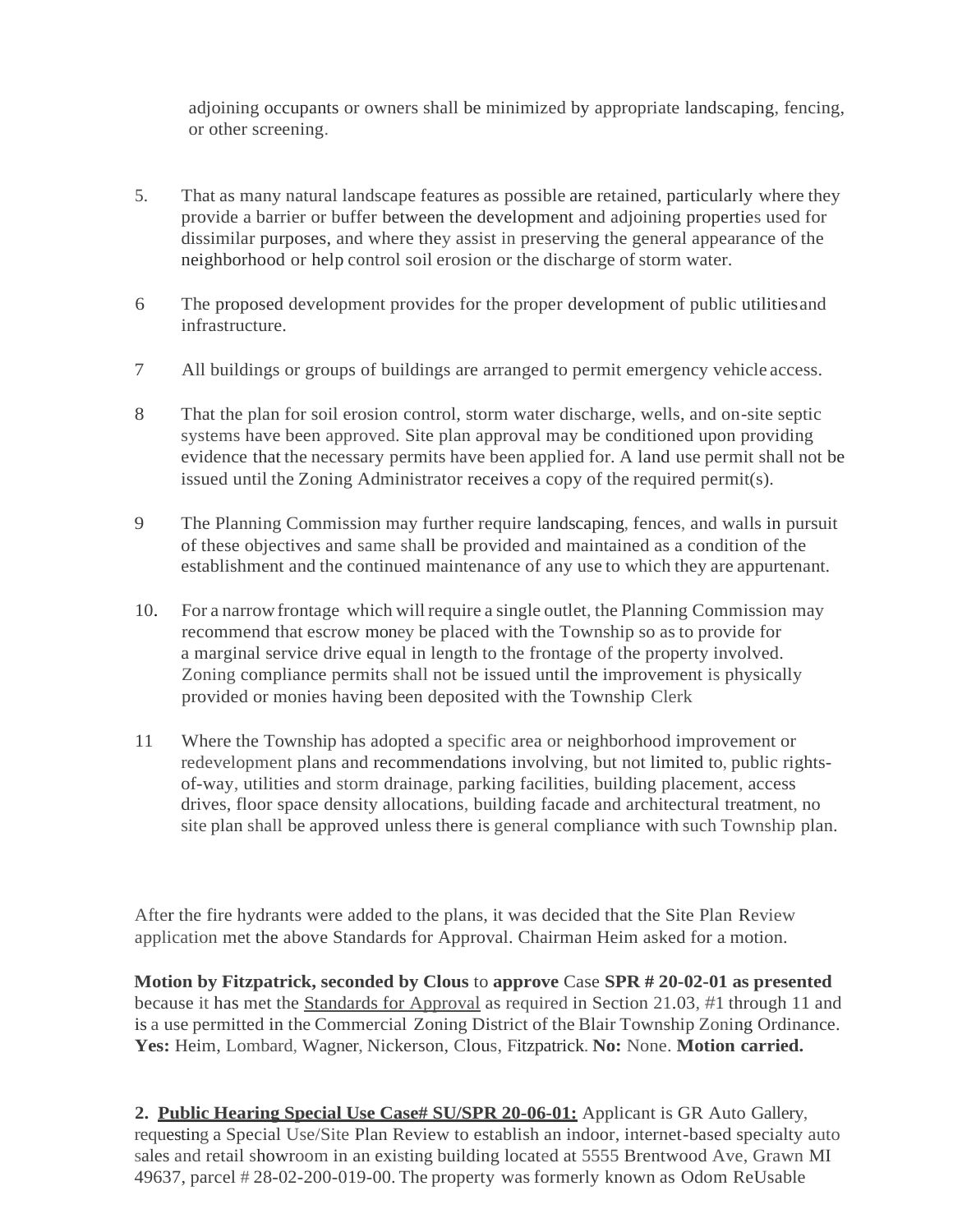adjoining occupants or owners shall be minimized by appropriate landscaping, fencing, or other screening.

- 5. That as many natural landscape features as possible are retained, particularly where they provide a barrier or buffer between the development and adjoining properties used for dissimilar purposes, and where they assist in preserving the general appearance of the neighborhood or help control soil erosion or the discharge of storm water.
- 6 The proposed development provides for the proper development of public utilitiesand infrastructure.
- 7 All buildings or groups of buildings are arranged to permit emergency vehicle access.
- 8 That the plan for soil erosion control, storm water discharge, wells, and on-site septic systems have been approved. Site plan approval may be conditioned upon providing evidence that the necessary permits have been applied for. A land use permit shall not be issued until the Zoning Administrator receives a copy of the required permit(s).
- 9 The Planning Commission may further require landscaping, fences, and walls in pursuit of these objectives and same shall be provided and maintained as a condition of the establishment and the continued maintenance of any use to which they are appurtenant.
- 10. For a narrowfrontage which will require a single outlet, the Planning Commission may recommend that escrow money be placed with the Township so as to provide for a marginal service drive equal in length to the frontage of the property involved. Zoning compliance permits shall not be issued until the improvement is physically provided or monies having been deposited with the Township Clerk
- 11 Where the Township has adopted a specific area or neighborhood improvement or redevelopment plans and recommendations involving, but not limited to, public rightsof-way, utilities and storm drainage, parking facilities, building placement, access drives, floor space density allocations, building facade and architectural treatment, no site plan shall be approved unless there is general compliance with such Township plan.

After the fire hydrants were added to the plans, it was decided that the Site Plan Review application met the above Standards for Approval. Chairman Heim asked for a motion.

**Motion by Fitzpatrick, seconded by Clous** to **approve** Case **SPR # 20-02-01 as presented**  because it has met the Standards for Approval as required in Section 21.03, #1 through 11 and is a use permitted in the Commercial Zoning District of the Blair Township Zoning Ordinance. **Yes:** Heim, Lombard, Wagner, Nickerson, Clous, Fitzpatrick. **No:** None. **Motion carried.**

**2. Public Hearing Special Use Case# SU/SPR 20-06-01:** Applicant is GR Auto Gallery, requesting a Special Use/Site Plan Review to establish an indoor, internet-based specialty auto sales and retail showroom in an existing building located at 5555 Brentwood Ave, Grawn MI 49637, parcel # 28-02-200-019-00. The property was formerly known as Odom ReUsable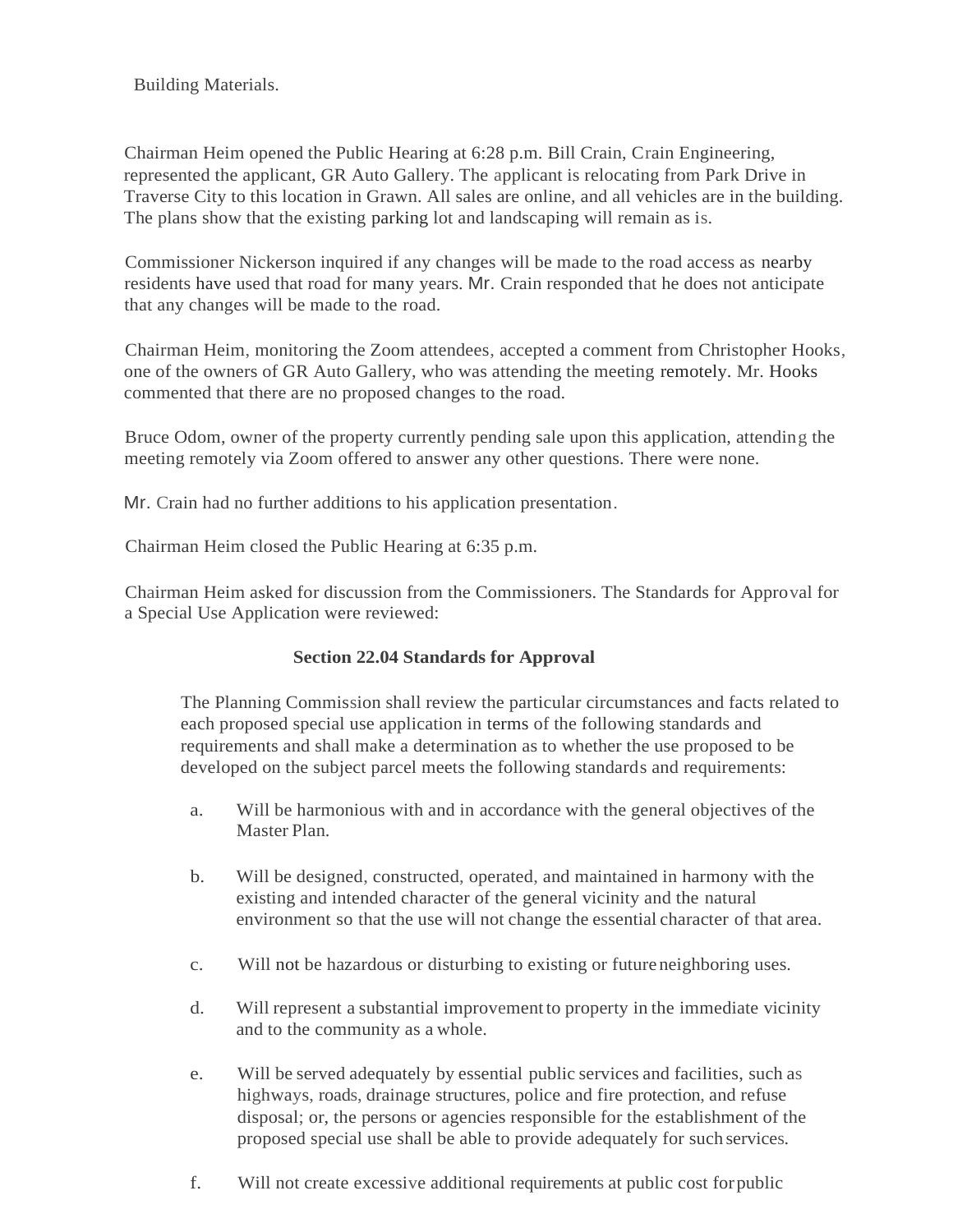Building Materials.

Chairman Heim opened the Public Hearing at 6:28 p.m. Bill Crain, Crain Engineering, represented the applicant, GR Auto Gallery. The applicant is relocating from Park Drive in Traverse City to this location in Grawn. All sales are online, and all vehicles are in the building. The plans show that the existing parking lot and landscaping will remain as is.

Commissioner Nickerson inquired if any changes will be made to the road access as nearby residents have used that road for many years. Mr. Crain responded that he does not anticipate that any changes will be made to the road.

Chairman Heim, monitoring the Zoom attendees, accepted a comment from Christopher Hooks, one of the owners of GR Auto Gallery, who was attending the meeting remotely. Mr. Hooks commented that there are no proposed changes to the road.

Bruce Odom, owner of the property currently pending sale upon this application, attending the meeting remotely via Zoom offered to answer any other questions. There were none.

Mr. Crain had no further additions to his application presentation.

Chairman Heim closed the Public Hearing at 6:35 p.m.

Chairman Heim asked for discussion from the Commissioners. The Standards for Approval for a Special Use Application were reviewed:

#### **Section 22.04 Standards for Approval**

The Planning Commission shall review the particular circumstances and facts related to each proposed special use application in terms of the following standards and requirements and shall make a determination as to whether the use proposed to be developed on the subject parcel meets the following standards and requirements:

- a. Will be harmonious with and in accordance with the general objectives of the Master Plan.
- b. Will be designed, constructed, operated, and maintained in harmony with the existing and intended character of the general vicinity and the natural environment so that the use will not change the essential character of that area.
- c. Will not be hazardous or disturbing to existing or future neighboring uses.
- d. Will represent a substantial improvement to property in the immediate vicinity and to the community as a whole.
- e. Will be served adequately by essential public services and facilities, such as highways, roads, drainage structures, police and fire protection, and refuse disposal; or, the persons or agencies responsible for the establishment of the proposed special use shall be able to provide adequately for such services.
- f. Will not create excessive additional requirements at public cost forpublic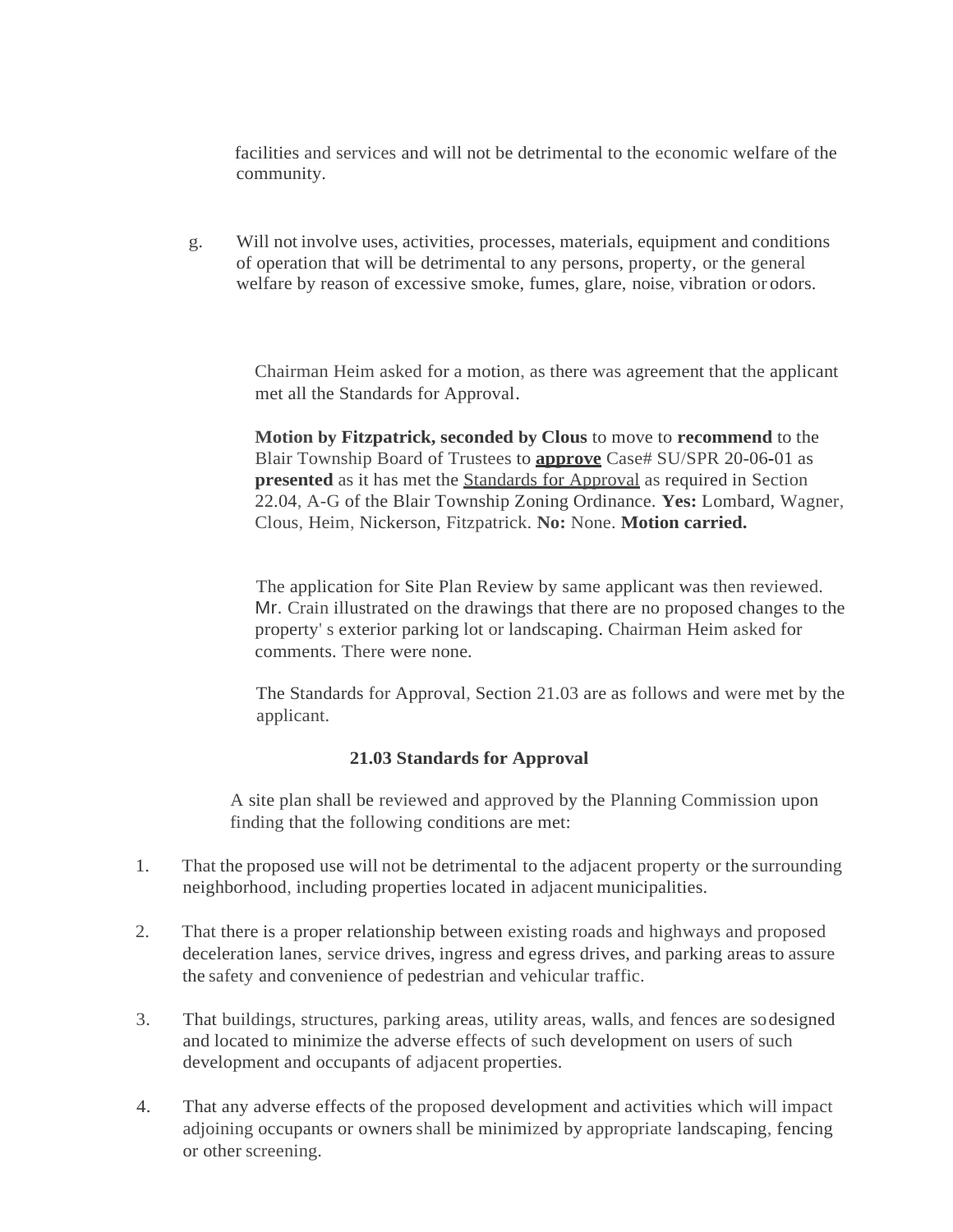facilities and services and will not be detrimental to the economic welfare of the community.

g. Will not involve uses, activities, processes, materials, equipment and conditions of operation that will be detrimental to any persons, property, or the general welfare by reason of excessive smoke, fumes, glare, noise, vibration or odors.

> Chairman Heim asked for a motion, as there was agreement that the applicant met all the Standards for Approval.

> **Motion by Fitzpatrick, seconded by Clous** to move to **recommend** to the Blair Township Board of Trustees to **approve** Case# SU/SPR 20-06-01 as **presented** as it has met the **Standards** for Approval as required in Section 22.04, A-G of the Blair Township Zoning Ordinance. **Yes:** Lombard, Wagner, Clous, Heim, Nickerson, Fitzpatrick. **No:** None. **Motion carried.**

> The application for Site Plan Review by same applicant was then reviewed. Mr. Crain illustrated on the drawings that there are no proposed changes to the property' s exterior parking lot or landscaping. Chairman Heim asked for comments. There were none.

> The Standards for Approval, Section 21.03 are as follows and were met by the applicant.

#### **21.03 Standards for Approval**

A site plan shall be reviewed and approved by the Planning Commission upon finding that the following conditions are met:

- 1. That the proposed use will not be detrimental to the adjacent property or the surrounding neighborhood, including properties located in adjacent municipalities.
- 2. That there is a proper relationship between existing roads and highways and proposed deceleration lanes, service drives, ingress and egress drives, and parking areas to assure the safety and convenience of pedestrian and vehicular traffic.
- 3. That buildings, structures, parking areas, utility areas, walls, and fences are sodesigned and located to minimize the adverse effects of such development on users of such development and occupants of adjacent properties.
- 4. That any adverse effects of the proposed development and activities which will impact adjoining occupants or owners shall be minimized by appropriate landscaping, fencing or other screening.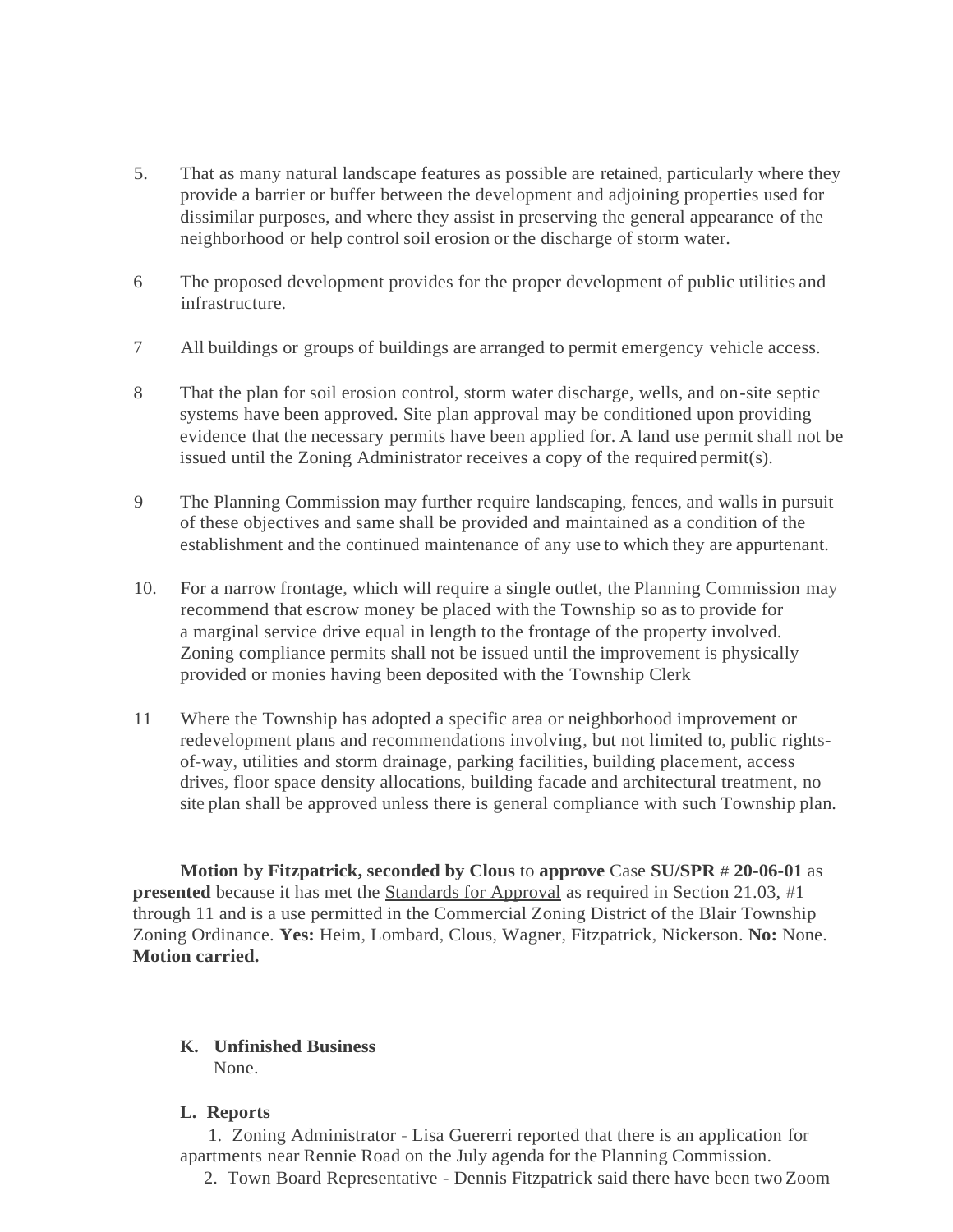- 5. That as many natural landscape features as possible are retained, particularly where they provide a barrier or buffer between the development and adjoining properties used for dissimilar purposes, and where they assist in preserving the general appearance of the neighborhood or help control soil erosion or the discharge of storm water.
- 6 The proposed development provides for the proper development of public utilities and infrastructure.
- 7 All buildings or groups of buildings are arranged to permit emergency vehicle access.
- 8 That the plan for soil erosion control, storm water discharge, wells, and on-site septic systems have been approved. Site plan approval may be conditioned upon providing evidence that the necessary permits have been applied for. A land use permit shall not be issued until the Zoning Administrator receives a copy of the required permit(s).
- 9 The Planning Commission may further require landscaping, fences, and walls in pursuit of these objectives and same shall be provided and maintained as a condition of the establishment and the continued maintenance of any use to which they are appurtenant.
- 10. For a narrow frontage, which will require a single outlet, the Planning Commission may recommend that escrow money be placed with the Township so asto provide for a marginal service drive equal in length to the frontage of the property involved. Zoning compliance permits shall not be issued until the improvement is physically provided or monies having been deposited with the Township Clerk
- 11 Where the Township has adopted a specific area or neighborhood improvement or redevelopment plans and recommendations involving, but not limited to, public rightsof-way, utilities and storm drainage, parking facilities, building placement, access drives, floor space density allocations, building facade and architectural treatment, no site plan shall be approved unless there is general compliance with such Township plan.

**Motion by Fitzpatrick, seconded by Clous** to **approve** Case **SU/SPR** # **20-06-01** as **presented** because it has met the Standards for Approval as required in Section 21.03, #1 through 11 and is a use permitted in the Commercial Zoning District of the Blair Township Zoning Ordinance. **Yes:** Heim, Lombard, Clous, Wagner, Fitzpatrick, Nickerson. **No:** None. **Motion carried.**

#### **K. Unfinished Business** None.

#### **L. Reports**

1. Zoning Administrator - Lisa Guererri reported that there is an application for apartments near Rennie Road on the July agenda for the Planning Commission.

2. Town Board Representative - Dennis Fitzpatrick said there have been two Zoom